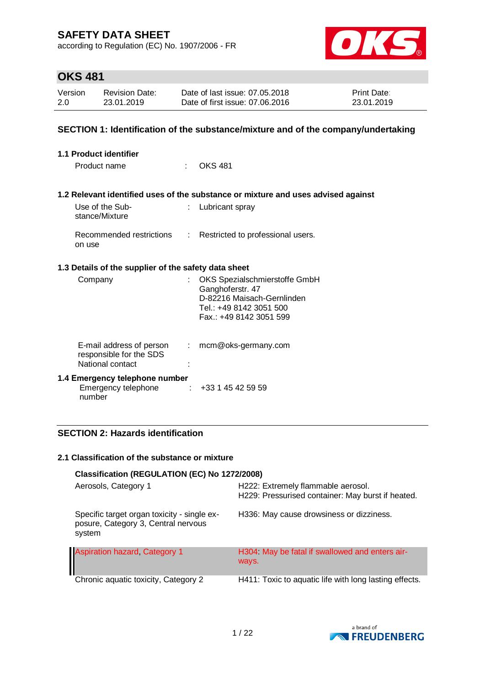according to Regulation (EC) No. 1907/2006 - FR



## **OKS 481**

| Version | <b>Revision Date:</b> | Date of last issue: 07.05.2018  | <b>Print Date:</b> |
|---------|-----------------------|---------------------------------|--------------------|
| 2.0     | 23.01.2019            | Date of first issue: 07.06.2016 | 23.01.2019         |

### **SECTION 1: Identification of the substance/mixture and of the company/undertaking**

| 1.1 Product identifier                                          |                            |                                                                                                                                       |
|-----------------------------------------------------------------|----------------------------|---------------------------------------------------------------------------------------------------------------------------------------|
| Product name                                                    | $\mathcal{L}^{\text{max}}$ | OKS 481                                                                                                                               |
|                                                                 |                            |                                                                                                                                       |
|                                                                 |                            | 1.2 Relevant identified uses of the substance or mixture and uses advised against                                                     |
| Use of the Sub-<br>stance/Mixture                               |                            | Lubricant spray                                                                                                                       |
| on use                                                          |                            | Recommended restrictions : Restricted to professional users.                                                                          |
| 1.3 Details of the supplier of the safety data sheet            |                            |                                                                                                                                       |
| Company                                                         |                            | OKS Spezialschmierstoffe GmbH<br>Ganghoferstr. 47<br>D-82216 Maisach-Gernlinden<br>Tel.: +49 8142 3051 500<br>Fax.: +49 8142 3051 599 |
| E-mail address of person                                        |                            | $:$ mcm@oks-germany.com                                                                                                               |
| responsible for the SDS<br>National contact                     |                            |                                                                                                                                       |
| 1.4 Emergency telephone number<br>Emergency telephone<br>number | ÷.                         | +33 1 45 42 59 59                                                                                                                     |

### **SECTION 2: Hazards identification**

#### **2.1 Classification of the substance or mixture**

| Classification (REGULATION (EC) No 1272/2008)                                                |                                                                                         |
|----------------------------------------------------------------------------------------------|-----------------------------------------------------------------------------------------|
| Aerosols, Category 1                                                                         | H222: Extremely flammable aerosol.<br>H229: Pressurised container: May burst if heated. |
| Specific target organ toxicity - single ex-<br>posure, Category 3, Central nervous<br>system | H336: May cause drowsiness or dizziness.                                                |
| <b>Aspiration hazard, Category 1</b>                                                         | H304 May be fatal if swallowed and enters air-<br>ways.                                 |
| Chronic aquatic toxicity, Category 2                                                         | H411: Toxic to aquatic life with long lasting effects.                                  |

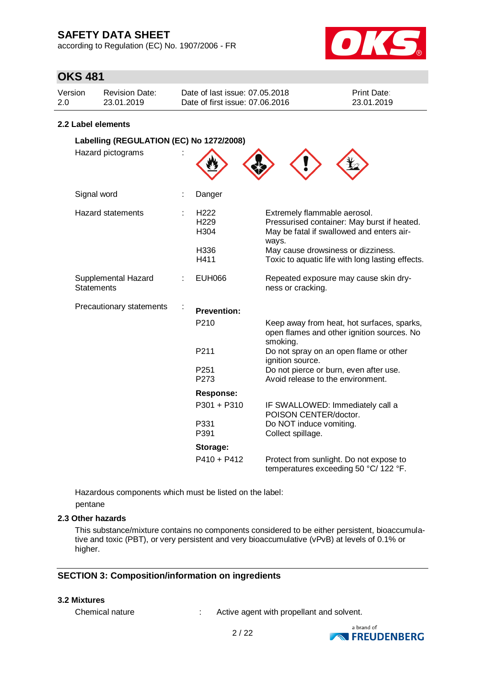according to Regulation (EC) No. 1907/2006 - FR



## **OKS 481**

| Version | <b>Revision Date:</b> | Date of last issue: 07.05.2018  | <b>Print Date:</b> |
|---------|-----------------------|---------------------------------|--------------------|
| 2.0     | 23.01.2019            | Date of first issue: 07.06.2016 | 23.01.2019         |

#### **2.2 Label elements**

| Labelling (REGULATION (EC) No 1272/2008) |  |                                                              |                                                                                                                                                                                                                             |  |
|------------------------------------------|--|--------------------------------------------------------------|-----------------------------------------------------------------------------------------------------------------------------------------------------------------------------------------------------------------------------|--|
| Hazard pictograms                        |  |                                                              |                                                                                                                                                                                                                             |  |
| Signal word                              |  | Danger                                                       |                                                                                                                                                                                                                             |  |
| <b>Hazard statements</b>                 |  | H <sub>222</sub><br>H <sub>229</sub><br>H304<br>H336<br>H411 | Extremely flammable aerosol.<br>Pressurised container: May burst if heated.<br>May be fatal if swallowed and enters air-<br>ways.<br>May cause drowsiness or dizziness.<br>Toxic to aquatic life with long lasting effects. |  |
|                                          |  |                                                              |                                                                                                                                                                                                                             |  |
| Supplemental Hazard<br><b>Statements</b> |  | <b>EUH066</b>                                                | Repeated exposure may cause skin dry-<br>ness or cracking.                                                                                                                                                                  |  |
| Precautionary statements                 |  | <b>Prevention:</b>                                           |                                                                                                                                                                                                                             |  |
|                                          |  | P210                                                         | Keep away from heat, hot surfaces, sparks,<br>open flames and other ignition sources. No<br>smoking.                                                                                                                        |  |
|                                          |  | P211                                                         | Do not spray on an open flame or other<br>ignition source.                                                                                                                                                                  |  |
|                                          |  | P <sub>251</sub><br>P273                                     | Do not pierce or burn, even after use.<br>Avoid release to the environment.                                                                                                                                                 |  |
|                                          |  | <b>Response:</b>                                             |                                                                                                                                                                                                                             |  |
|                                          |  | $P301 + P310$                                                | IF SWALLOWED: Immediately call a<br>POISON CENTER/doctor.                                                                                                                                                                   |  |
|                                          |  | P331<br>P391                                                 | Do NOT induce vomiting.<br>Collect spillage.                                                                                                                                                                                |  |
|                                          |  | Storage:                                                     |                                                                                                                                                                                                                             |  |
|                                          |  | $P410 + P412$                                                | Protect from sunlight. Do not expose to<br>temperatures exceeding 50 °C/ 122 °F.                                                                                                                                            |  |

Hazardous components which must be listed on the label: pentane

#### **2.3 Other hazards**

This substance/mixture contains no components considered to be either persistent, bioaccumulative and toxic (PBT), or very persistent and very bioaccumulative (vPvB) at levels of 0.1% or higher.

### **SECTION 3: Composition/information on ingredients**

#### **3.2 Mixtures**

Chemical nature : Active agent with propellant and solvent.

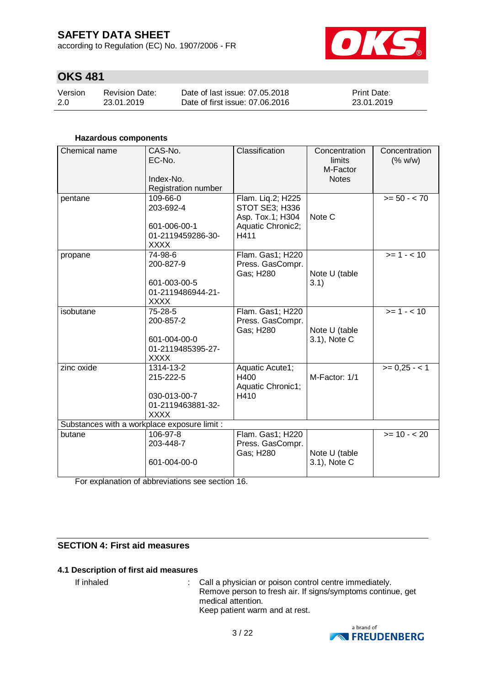according to Regulation (EC) No. 1907/2006 - FR



## **OKS 481**

| Version | <b>Revision Date:</b> | Date of last issue: 07.05.2018  | <b>Print Date:</b> |
|---------|-----------------------|---------------------------------|--------------------|
| 2.0     | 23.01.2019            | Date of first issue: 07.06.2016 | 23.01.2019         |

#### **Hazardous components**

| Chemical name                                | CAS-No.<br>EC-No.<br>Index-No.<br>Registration number                      | Classification                                                                       | Concentration<br>limits<br>M-Factor<br><b>Notes</b> | Concentration<br>(% w/w) |
|----------------------------------------------|----------------------------------------------------------------------------|--------------------------------------------------------------------------------------|-----------------------------------------------------|--------------------------|
| pentane                                      | 109-66-0<br>203-692-4<br>601-006-00-1<br>01-2119459286-30-<br><b>XXXX</b>  | Flam. Liq.2; H225<br>STOT SE3; H336<br>Asp. Tox.1; H304<br>Aquatic Chronic2;<br>H411 | Note C                                              | $>= 50 - < 70$           |
| propane                                      | 74-98-6<br>200-827-9<br>601-003-00-5<br>01-2119486944-21-<br><b>XXXX</b>   | Flam. Gas1; H220<br>Press. GasCompr.<br>Gas; H280                                    | Note U (table<br>3.1)                               | $>= 1 - 10$              |
| isobutane                                    | 75-28-5<br>200-857-2<br>601-004-00-0<br>01-2119485395-27-<br><b>XXXX</b>   | Flam. Gas1; H220<br>Press. GasCompr.<br>Gas; H280                                    | Note U (table<br>3.1), Note C                       | $>= 1 - 10$              |
| zinc oxide                                   | 1314-13-2<br>215-222-5<br>030-013-00-7<br>01-2119463881-32-<br><b>XXXX</b> | Aquatic Acute1;<br>H400<br>Aquatic Chronic1;<br>H410                                 | M-Factor: 1/1                                       | $>= 0,25 - 1$            |
| Substances with a workplace exposure limit : |                                                                            |                                                                                      |                                                     |                          |
| butane                                       | 106-97-8<br>203-448-7<br>601-004-00-0                                      | Flam. Gas1; H220<br>Press. GasCompr.<br>Gas; H280                                    | Note U (table<br>3.1), Note C                       | $>= 10 - 20$             |

For explanation of abbreviations see section 16.

### **SECTION 4: First aid measures**

#### **4.1 Description of first aid measures**

If inhaled : Call a physician or poison control centre immediately. Remove person to fresh air. If signs/symptoms continue, get medical attention. Keep patient warm and at rest.

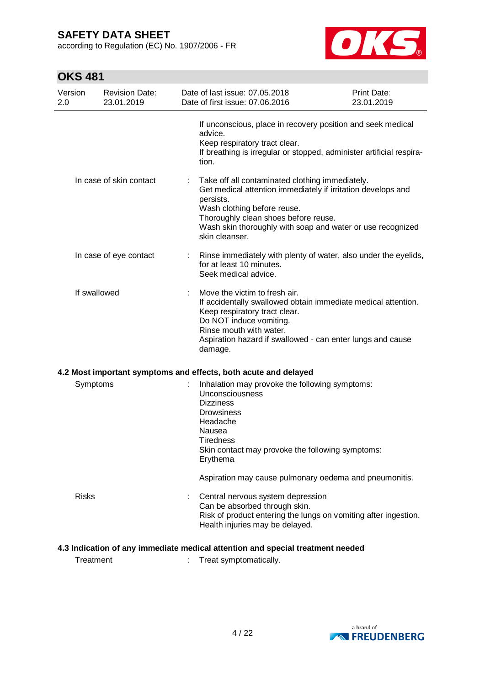according to Regulation (EC) No. 1907/2006 - FR



## **OKS 481**

| Version<br>2.0 | <b>Revision Date:</b><br>23.01.2019 | Date of last issue: 07.05.2018<br>Date of first issue: 07.06.2016                                                                                                                                                                                                                   | <b>Print Date:</b><br>23.01.2019 |
|----------------|-------------------------------------|-------------------------------------------------------------------------------------------------------------------------------------------------------------------------------------------------------------------------------------------------------------------------------------|----------------------------------|
|                |                                     | If unconscious, place in recovery position and seek medical<br>advice.<br>Keep respiratory tract clear.<br>If breathing is irregular or stopped, administer artificial respira-<br>tion.                                                                                            |                                  |
|                | In case of skin contact             | Take off all contaminated clothing immediately.<br>Get medical attention immediately if irritation develops and<br>persists.<br>Wash clothing before reuse.<br>Thoroughly clean shoes before reuse.<br>Wash skin thoroughly with soap and water or use recognized<br>skin cleanser. |                                  |
|                | In case of eye contact              | Rinse immediately with plenty of water, also under the eyelids,<br>for at least 10 minutes.<br>Seek medical advice.                                                                                                                                                                 |                                  |
| If swallowed   |                                     | Move the victim to fresh air.<br>If accidentally swallowed obtain immediate medical attention.<br>Keep respiratory tract clear.<br>Do NOT induce vomiting.<br>Rinse mouth with water.<br>Aspiration hazard if swallowed - can enter lungs and cause<br>damage.                      |                                  |
|                |                                     | 4.2 Most important symptoms and effects, both acute and delayed                                                                                                                                                                                                                     |                                  |
| Symptoms       |                                     | Inhalation may provoke the following symptoms:<br>Unconsciousness<br><b>Dizziness</b><br>Drowsiness<br>Headache<br>Nausea<br><b>Tiredness</b><br>Skin contact may provoke the following symptoms:<br>Erythema                                                                       |                                  |
|                |                                     | Aspiration may cause pulmonary oedema and pneumonitis.                                                                                                                                                                                                                              |                                  |
| <b>Risks</b>   |                                     | Central nervous system depression<br>Can be absorbed through skin.<br>Risk of product entering the lungs on vomiting after ingestion.<br>Health injuries may be delayed.                                                                                                            |                                  |

### **4.3 Indication of any immediate medical attention and special treatment needed**

Treatment : Treat symptomatically.

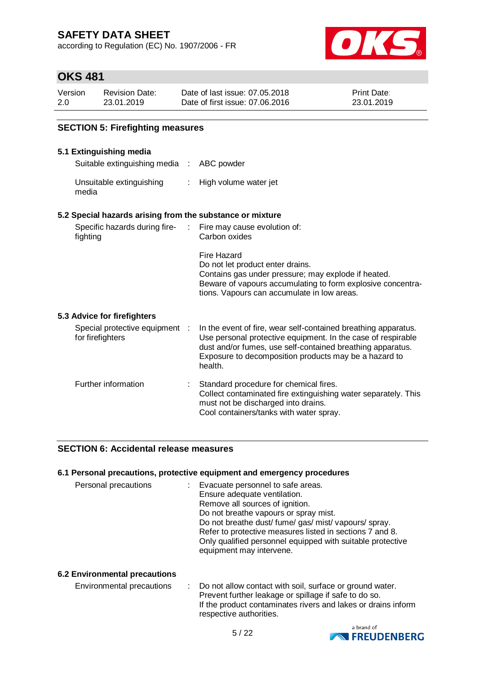according to Regulation (EC) No. 1907/2006 - FR



Print Date: 23.01.2019

| <b>OKS 481</b> |                                     |                                                                   |  |  |
|----------------|-------------------------------------|-------------------------------------------------------------------|--|--|
| Version<br>2.0 | <b>Revision Date:</b><br>23.01.2019 | Date of last issue: 07.05.2018<br>Date of first issue: 07.06.2016 |  |  |
|                |                                     |                                                                   |  |  |

#### **SECTION 5: Firefighting measures**

#### **5.1 Extinguishing media**

Suitable extinguishing media : ABC powder

Unsuitable extinguishing : High volume water jet media

#### **5.2 Special hazards arising from the substance or mixture**

| Specific hazards during fire-<br>fighting          |  | $\therefore$ Fire may cause evolution of:<br>Carbon oxides                                                                                                                                                           |
|----------------------------------------------------|--|----------------------------------------------------------------------------------------------------------------------------------------------------------------------------------------------------------------------|
|                                                    |  | Fire Hazard<br>Do not let product enter drains.<br>Contains gas under pressure; may explode if heated.<br>Beware of vapours accumulating to form explosive concentra-<br>tions. Vapours can accumulate in low areas. |
| 5.3 Advice for firefighters                        |  |                                                                                                                                                                                                                      |
| Special protective equipment :<br>for firefighters |  | In the event of fire, wear self-contained breathing apparatus.<br>Use personal protective equipment. In the case of respirable                                                                                       |

| for firefighters    | Use personal protective equipment. In the case of respirable<br>dust and/or fumes, use self-contained breathing apparatus.<br>Exposure to decomposition products may be a hazard to<br>health. |
|---------------------|------------------------------------------------------------------------------------------------------------------------------------------------------------------------------------------------|
| Further information | Standard procedure for chemical fires.<br>Collect contaminated fire extinguishing water separately. This<br>must not be discharged into drains.<br>Cool containers/tanks with water spray.     |

#### **SECTION 6: Accidental release measures**

#### **6.1 Personal precautions, protective equipment and emergency procedures**

| Personal precautions | Evacuate personnel to safe areas.<br>Ensure adequate ventilation.<br>Remove all sources of ignition.<br>Do not breathe vapours or spray mist.<br>Do not breathe dust/fume/gas/mist/vapours/spray. |
|----------------------|---------------------------------------------------------------------------------------------------------------------------------------------------------------------------------------------------|
|                      | Refer to protective measures listed in sections 7 and 8.<br>Only qualified personnel equipped with suitable protective<br>equipment may intervene.                                                |

#### **6.2 Environmental precautions**

| Environmental precautions |  | : Do not allow contact with soil, surface or ground water.    |
|---------------------------|--|---------------------------------------------------------------|
|                           |  | Prevent further leakage or spillage if safe to do so.         |
|                           |  | If the product contaminates rivers and lakes or drains inform |
|                           |  | respective authorities.                                       |

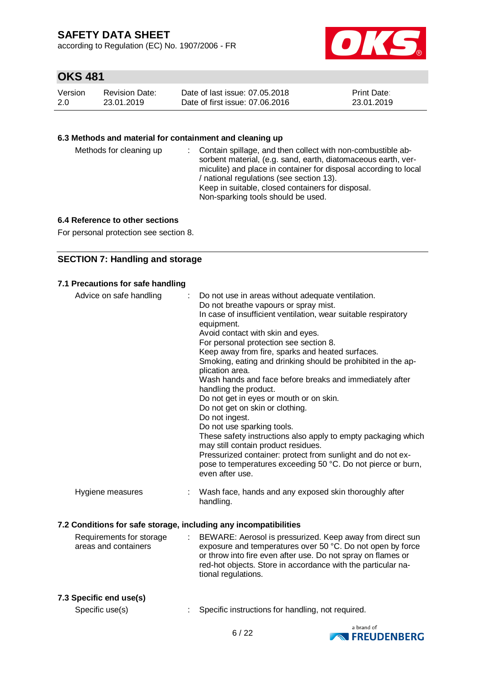according to Regulation (EC) No. 1907/2006 - FR



## **OKS 481**

| Version | <b>Revision Date:</b> | Date of last issue: 07.05.2018  | <b>Print Date:</b> |
|---------|-----------------------|---------------------------------|--------------------|
| -2.0    | 23.01.2019            | Date of first issue: 07.06.2016 | 23.01.2019         |

### **6.3 Methods and material for containment and cleaning up**

| Methods for cleaning up |  | : Contain spillage, and then collect with non-combustible ab-<br>sorbent material, (e.g. sand, earth, diatomaceous earth, ver-<br>miculite) and place in container for disposal according to local<br>/ national regulations (see section 13).<br>Keep in suitable, closed containers for disposal.<br>Non-sparking tools should be used. |
|-------------------------|--|-------------------------------------------------------------------------------------------------------------------------------------------------------------------------------------------------------------------------------------------------------------------------------------------------------------------------------------------|
|-------------------------|--|-------------------------------------------------------------------------------------------------------------------------------------------------------------------------------------------------------------------------------------------------------------------------------------------------------------------------------------------|

### **6.4 Reference to other sections**

For personal protection see section 8.

### **SECTION 7: Handling and storage**

| Advice on safe handling | Do not use in areas without adequate ventilation.<br>÷<br>Do not breathe vapours or spray mist.<br>In case of insufficient ventilation, wear suitable respiratory<br>equipment.<br>Avoid contact with skin and eyes.<br>For personal protection see section 8.<br>Keep away from fire, sparks and heated surfaces.<br>Smoking, eating and drinking should be prohibited in the ap-<br>plication area.<br>Wash hands and face before breaks and immediately after<br>handling the product.<br>Do not get in eyes or mouth or on skin.<br>Do not get on skin or clothing.<br>Do not ingest.<br>Do not use sparking tools.<br>These safety instructions also apply to empty packaging which<br>may still contain product residues.<br>Pressurized container: protect from sunlight and do not ex- |
|-------------------------|------------------------------------------------------------------------------------------------------------------------------------------------------------------------------------------------------------------------------------------------------------------------------------------------------------------------------------------------------------------------------------------------------------------------------------------------------------------------------------------------------------------------------------------------------------------------------------------------------------------------------------------------------------------------------------------------------------------------------------------------------------------------------------------------|
|                         | pose to temperatures exceeding 50 °C. Do not pierce or burn,<br>even after use.                                                                                                                                                                                                                                                                                                                                                                                                                                                                                                                                                                                                                                                                                                                |
| Hygiene measures        | Wash face, hands and any exposed skin thoroughly after<br>handling.                                                                                                                                                                                                                                                                                                                                                                                                                                                                                                                                                                                                                                                                                                                            |
|                         | 7.2 Conditions for safe storage, including any incompatibilities                                                                                                                                                                                                                                                                                                                                                                                                                                                                                                                                                                                                                                                                                                                               |
|                         |                                                                                                                                                                                                                                                                                                                                                                                                                                                                                                                                                                                                                                                                                                                                                                                                |

| Requirements for storage | : BEWARE: Aerosol is pressurized. Keep away from direct sun  |
|--------------------------|--------------------------------------------------------------|
| areas and containers     | exposure and temperatures over 50 °C. Do not open by force   |
|                          | or throw into fire even after use. Do not spray on flames or |
|                          | red-hot objects. Store in accordance with the particular na- |
|                          | tional regulations.                                          |
|                          |                                                              |

#### **7.3 Specific end use(s)**

Specific use(s) : Specific instructions for handling, not required.

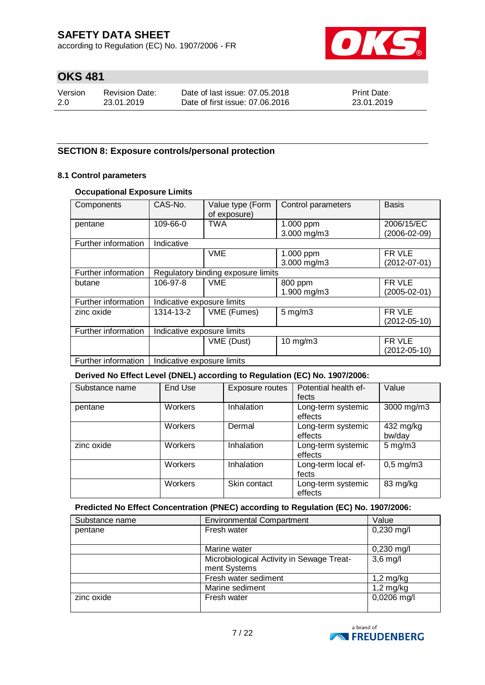according to Regulation (EC) No. 1907/2006 - FR



## **OKS 481**

| Version | <b>Revision Date:</b> | Date of last issue: 07.05.2018  | <b>Print Date:</b> |
|---------|-----------------------|---------------------------------|--------------------|
| 2.0     | 23.01.2019            | Date of first issue: 07.06.2016 | 23.01.2019         |

### **SECTION 8: Exposure controls/personal protection**

#### **8.1 Control parameters**

#### **Occupational Exposure Limits**

| Components          | CAS-No.                            | Value type (Form | Control parameters | <b>Basis</b>       |
|---------------------|------------------------------------|------------------|--------------------|--------------------|
|                     |                                    | of exposure)     |                    |                    |
| pentane             | 109-66-0                           | <b>TWA</b>       | 1.000 ppm          | 2006/15/EC         |
|                     |                                    |                  | 3.000 mg/m3        | (2006-02-09)       |
| Further information | Indicative                         |                  |                    |                    |
|                     |                                    | <b>VME</b>       | 1.000 ppm          | FR VLE             |
|                     |                                    |                  | 3.000 mg/m3        | $(2012 - 07 - 01)$ |
| Further information | Regulatory binding exposure limits |                  |                    |                    |
| butane              | 106-97-8                           | <b>VME</b>       | 800 ppm            | FR VLE             |
|                     |                                    |                  | 1.900 mg/m3        | $(2005 - 02 - 01)$ |
| Further information | Indicative exposure limits         |                  |                    |                    |
| zinc oxide          | 1314-13-2                          | VME (Fumes)      | $5$ mg/m $3$       | FR VLE             |
|                     |                                    |                  |                    | $(2012 - 05 - 10)$ |
| Further information | Indicative exposure limits         |                  |                    |                    |
|                     |                                    | VME (Dust)       | $10 \text{ mg/m}$  | FR VLE             |
|                     |                                    |                  |                    | (2012-05-10)       |
| Further information | Indicative exposure limits         |                  |                    |                    |

#### **Derived No Effect Level (DNEL) according to Regulation (EC) No. 1907/2006:**

| Substance name | End Use        | Exposure routes | Potential health ef-<br>fects | Value               |
|----------------|----------------|-----------------|-------------------------------|---------------------|
| pentane        | <b>Workers</b> | Inhalation      | Long-term systemic<br>effects | 3000 mg/m3          |
|                | Workers        | Dermal          | Long-term systemic<br>effects | 432 mg/kg<br>bw/day |
| zinc oxide     | <b>Workers</b> | Inhalation      | Long-term systemic<br>effects | $5 \text{ mg/m}$ 3  |
|                | Workers        | Inhalation      | Long-term local ef-<br>fects  | $0,5$ mg/m $3$      |
|                | Workers        | Skin contact    | Long-term systemic<br>effects | 83 mg/kg            |

#### **Predicted No Effect Concentration (PNEC) according to Regulation (EC) No. 1907/2006:**

| Substance name | <b>Environmental Compartment</b><br>Value |              |  |
|----------------|-------------------------------------------|--------------|--|
| pentane        | Fresh water                               | $0,230$ mg/l |  |
|                |                                           |              |  |
|                | Marine water                              | $0,230$ mg/l |  |
|                | Microbiological Activity in Sewage Treat- | $3,6$ mg/    |  |
|                | ment Systems                              |              |  |
|                | Fresh water sediment                      | $1,2$ mg/kg  |  |
|                | Marine sediment                           | $1,2$ mg/kg  |  |
| zinc oxide     | Fresh water                               | 0,0206 mg/l  |  |

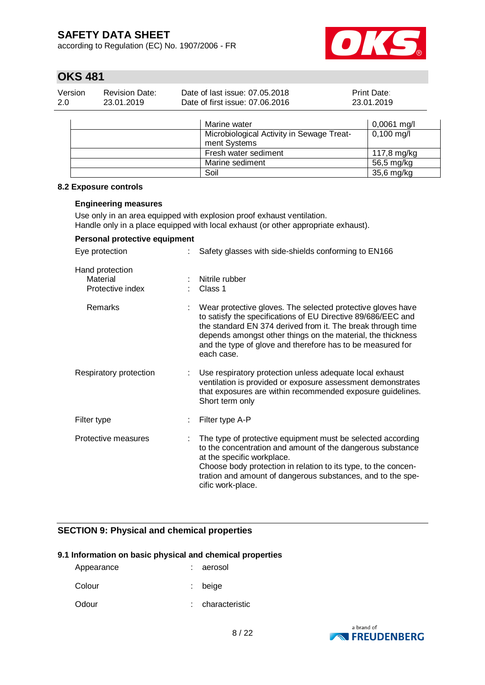according to Regulation (EC) No. 1907/2006 - FR



## **OKS 481**

| Version | Revision Date: | Date of last issue: 07.05.2018  | <b>Print Date:</b> |
|---------|----------------|---------------------------------|--------------------|
| 2.0     | 23.01.2019     | Date of first issue: 07.06.2016 | 23.01.2019         |

| Marine water                                              | $0,0061$ mg/l        |
|-----------------------------------------------------------|----------------------|
| Microbiological Activity in Sewage Treat-<br>ment Systems | $0,100 \text{ mg/l}$ |
| Fresh water sediment                                      | 117,8 mg/kg          |
| Marine sediment                                           | 56,5 mg/kg           |
| Soil                                                      | 35,6 mg/kg           |

#### **8.2 Exposure controls**

#### **Engineering measures**

Use only in an area equipped with explosion proof exhaust ventilation. Handle only in a place equipped with local exhaust (or other appropriate exhaust).

| Personal protective equipment                   |                                                                                                                                                                                                                                                                                                                                       |
|-------------------------------------------------|---------------------------------------------------------------------------------------------------------------------------------------------------------------------------------------------------------------------------------------------------------------------------------------------------------------------------------------|
| Eye protection                                  | Safety glasses with side-shields conforming to EN166                                                                                                                                                                                                                                                                                  |
| Hand protection<br>Material<br>Protective index | Nitrile rubber<br>Class 1                                                                                                                                                                                                                                                                                                             |
| Remarks                                         | Wear protective gloves. The selected protective gloves have<br>to satisfy the specifications of EU Directive 89/686/EEC and<br>the standard EN 374 derived from it. The break through time<br>depends amongst other things on the material, the thickness<br>and the type of glove and therefore has to be measured for<br>each case. |
| Respiratory protection                          | Use respiratory protection unless adequate local exhaust<br>ventilation is provided or exposure assessment demonstrates<br>that exposures are within recommended exposure guidelines.<br>Short term only                                                                                                                              |
| Filter type                                     | Filter type A-P                                                                                                                                                                                                                                                                                                                       |
| Protective measures                             | The type of protective equipment must be selected according<br>to the concentration and amount of the dangerous substance<br>at the specific workplace.<br>Choose body protection in relation to its type, to the concen-<br>tration and amount of dangerous substances, and to the spe-<br>cific work-place.                         |

### **SECTION 9: Physical and chemical properties**

#### **9.1 Information on basic physical and chemical properties**

| Appearance     | : aerosol |
|----------------|-----------|
| C <sub>2</sub> | معنمط     |

- Colour : beige
- Odour : characteristic

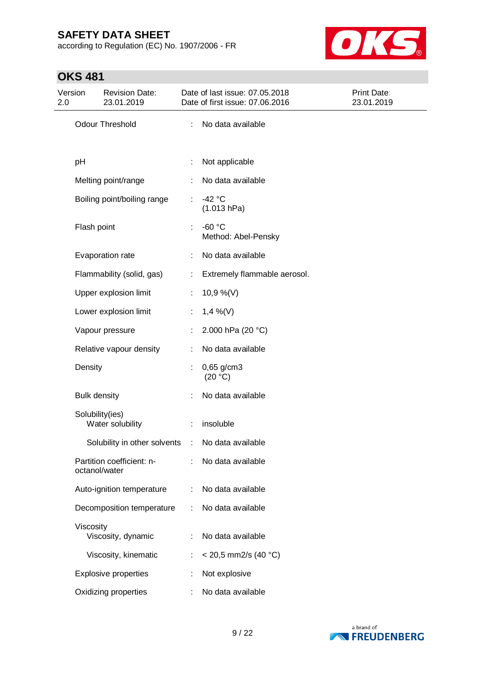according to Regulation (EC) No. 1907/2006 - FR



## **OKS 481**

| Version<br>2.0 | <b>Revision Date:</b><br>23.01.2019        |    | Date of last issue: 07.05.2018<br>Date of first issue: 07.06.2016 | Print Date:<br>23.01.2019 |
|----------------|--------------------------------------------|----|-------------------------------------------------------------------|---------------------------|
|                | <b>Odour Threshold</b>                     | ÷  | No data available                                                 |                           |
| pH             |                                            |    | Not applicable                                                    |                           |
|                | Melting point/range                        |    | No data available                                                 |                           |
|                | Boiling point/boiling range                | t. | $-42 °C$<br>(1.013 hPa)                                           |                           |
|                | Flash point                                |    | $-60 °C$<br>Method: Abel-Pensky                                   |                           |
|                | Evaporation rate                           | ÷  | No data available                                                 |                           |
|                | Flammability (solid, gas)                  | ÷  | Extremely flammable aerosol.                                      |                           |
|                | Upper explosion limit                      | ÷. | 10,9 %(V)                                                         |                           |
|                | Lower explosion limit                      | ÷. | $1,4\%$ (V)                                                       |                           |
|                | Vapour pressure                            |    | 2.000 hPa (20 °C)                                                 |                           |
|                | Relative vapour density                    | ÷  | No data available                                                 |                           |
| Density        |                                            |    | $0,65$ g/cm3<br>(20 °C)                                           |                           |
|                | <b>Bulk density</b>                        |    | No data available                                                 |                           |
|                | Solubility(ies)<br>Water solubility        |    | insoluble                                                         |                           |
|                | Solubility in other solvents :             |    | No data available                                                 |                           |
|                | Partition coefficient: n-<br>octanol/water |    | No data available                                                 |                           |
|                | Auto-ignition temperature                  |    | No data available                                                 |                           |
|                | Decomposition temperature                  |    | No data available                                                 |                           |
|                | Viscosity<br>Viscosity, dynamic            |    | No data available                                                 |                           |
|                | Viscosity, kinematic                       |    | $<$ 20,5 mm2/s (40 °C)                                            |                           |
|                | <b>Explosive properties</b>                |    | Not explosive                                                     |                           |
|                | Oxidizing properties                       |    | No data available                                                 |                           |

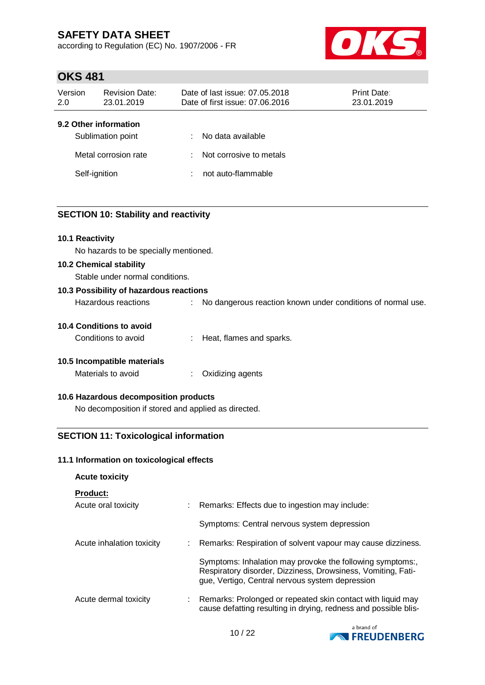according to Regulation (EC) No. 1907/2006 - FR



## **OKS 481**

| Version<br>2.0 | <b>Revision Date:</b><br>23.01.2019                                | Date of last issue: 07.05.2018<br><b>Print Date:</b><br>Date of first issue: 07.06.2016<br>23.01.2019 |                                                                    |  |  |  |
|----------------|--------------------------------------------------------------------|-------------------------------------------------------------------------------------------------------|--------------------------------------------------------------------|--|--|--|
| Self-ignition  | 9.2 Other information<br>Sublimation point<br>Metal corrosion rate | ÷<br>÷<br>÷                                                                                           | No data available<br>Not corrosive to metals<br>not auto-flammable |  |  |  |

### **SECTION 10: Stability and reactivity**

#### **10.1 Reactivity**

No hazards to be specially mentioned.

#### **10.2 Chemical stability**

Stable under normal conditions.

# **10.3 Possibility of hazardous reactions** Hazardous reactions : No dangerous reaction known under conditions of normal use.

### **10.4 Conditions to avoid**

Conditions to avoid : Heat, flames and sparks.

### **10.5 Incompatible materials**

Materials to avoid : Oxidizing agents

### **10.6 Hazardous decomposition products**

No decomposition if stored and applied as directed.

### **SECTION 11: Toxicological information**

#### **11.1 Information on toxicological effects**

| <b>Acute toxicity</b>     |                                                                                                                                                                              |
|---------------------------|------------------------------------------------------------------------------------------------------------------------------------------------------------------------------|
| <b>Product:</b>           |                                                                                                                                                                              |
| Acute oral toxicity       | : Remarks: Effects due to ingestion may include:                                                                                                                             |
|                           | Symptoms: Central nervous system depression                                                                                                                                  |
| Acute inhalation toxicity | : Remarks: Respiration of solvent vapour may cause dizziness.                                                                                                                |
|                           | Symptoms: Inhalation may provoke the following symptoms:,<br>Respiratory disorder, Dizziness, Drowsiness, Vomiting, Fati-<br>que, Vertigo, Central nervous system depression |
| Acute dermal toxicity     | : Remarks: Prolonged or repeated skin contact with liquid may<br>cause defatting resulting in drying, redness and possible blis-                                             |

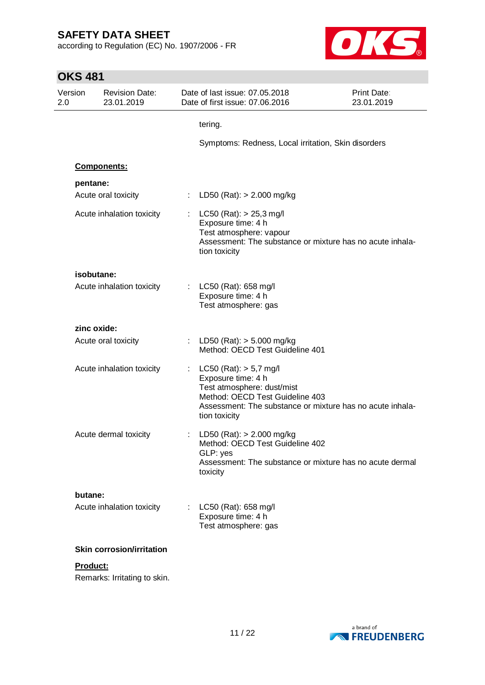according to Regulation (EC) No. 1907/2006 - FR



| <b>OKS 481</b> |                                     |                               |                                                                                                                                                                                                 |                                  |
|----------------|-------------------------------------|-------------------------------|-------------------------------------------------------------------------------------------------------------------------------------------------------------------------------------------------|----------------------------------|
| Version<br>2.0 | <b>Revision Date:</b><br>23.01.2019 |                               | Date of last issue: 07.05.2018<br>Date of first issue: 07.06.2016                                                                                                                               | <b>Print Date:</b><br>23.01.2019 |
|                |                                     |                               | tering.                                                                                                                                                                                         |                                  |
|                |                                     |                               | Symptoms: Redness, Local irritation, Skin disorders                                                                                                                                             |                                  |
|                | <b>Components:</b>                  |                               |                                                                                                                                                                                                 |                                  |
| pentane:       |                                     |                               |                                                                                                                                                                                                 |                                  |
|                | Acute oral toxicity                 |                               | LD50 (Rat): $> 2.000$ mg/kg                                                                                                                                                                     |                                  |
|                | Acute inhalation toxicity           |                               | $LC50$ (Rat): $> 25.3$ mg/l<br>Exposure time: 4 h<br>Test atmosphere: vapour<br>Assessment: The substance or mixture has no acute inhala-<br>tion toxicity                                      |                                  |
| isobutane:     |                                     |                               |                                                                                                                                                                                                 |                                  |
|                | Acute inhalation toxicity           | $\mathbb{Z}^{\mathbb{Z}^n}$ . | LC50 (Rat): 658 mg/l<br>Exposure time: 4 h<br>Test atmosphere: gas                                                                                                                              |                                  |
|                | zinc oxide:                         |                               |                                                                                                                                                                                                 |                                  |
|                | Acute oral toxicity                 |                               | LD50 (Rat): $> 5.000$ mg/kg<br>Method: OECD Test Guideline 401                                                                                                                                  |                                  |
|                | Acute inhalation toxicity           | t.                            | $LC50$ (Rat): $> 5.7$ mg/l<br>Exposure time: 4 h<br>Test atmosphere: dust/mist<br>Method: OECD Test Guideline 403<br>Assessment: The substance or mixture has no acute inhala-<br>tion toxicity |                                  |
|                | Acute dermal toxicity               |                               | : LD50 (Rat): $> 2.000$ mg/kg<br>Method: OECD Test Guideline 402<br>GLP: yes<br>Assessment: The substance or mixture has no acute dermal<br>toxicity                                            |                                  |
| butane:        |                                     |                               |                                                                                                                                                                                                 |                                  |
|                | Acute inhalation toxicity           |                               | LC50 (Rat): 658 mg/l<br>Exposure time: 4 h<br>Test atmosphere: gas                                                                                                                              |                                  |
|                | <b>Skin corrosion/irritation</b>    |                               |                                                                                                                                                                                                 |                                  |
| Product:       |                                     |                               |                                                                                                                                                                                                 |                                  |
|                | Remarks: Irritating to skin.        |                               |                                                                                                                                                                                                 |                                  |

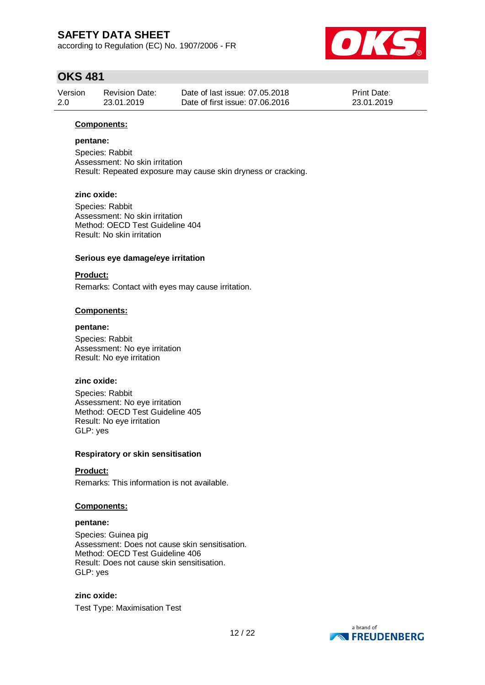according to Regulation (EC) No. 1907/2006 - FR



### **OKS 481**

| Version | <b>Revision Date:</b> | Date of last issue: 07.05.2018  | <b>Print Date:</b> |
|---------|-----------------------|---------------------------------|--------------------|
| 2.0     | 23.01.2019            | Date of first issue: 07.06.2016 | 23.01.2019         |

#### **Components:**

#### **pentane:**

Species: Rabbit Assessment: No skin irritation Result: Repeated exposure may cause skin dryness or cracking.

#### **zinc oxide:**

Species: Rabbit Assessment: No skin irritation Method: OECD Test Guideline 404 Result: No skin irritation

#### **Serious eye damage/eye irritation**

#### **Product:**

Remarks: Contact with eyes may cause irritation.

#### **Components:**

#### **pentane:**

Species: Rabbit Assessment: No eye irritation Result: No eye irritation

#### **zinc oxide:**

Species: Rabbit Assessment: No eye irritation Method: OECD Test Guideline 405 Result: No eye irritation GLP: yes

#### **Respiratory or skin sensitisation**

#### **Product:**

Remarks: This information is not available.

#### **Components:**

#### **pentane:**

Species: Guinea pig Assessment: Does not cause skin sensitisation. Method: OECD Test Guideline 406 Result: Does not cause skin sensitisation. GLP: yes

### **zinc oxide:** Test Type: Maximisation Test

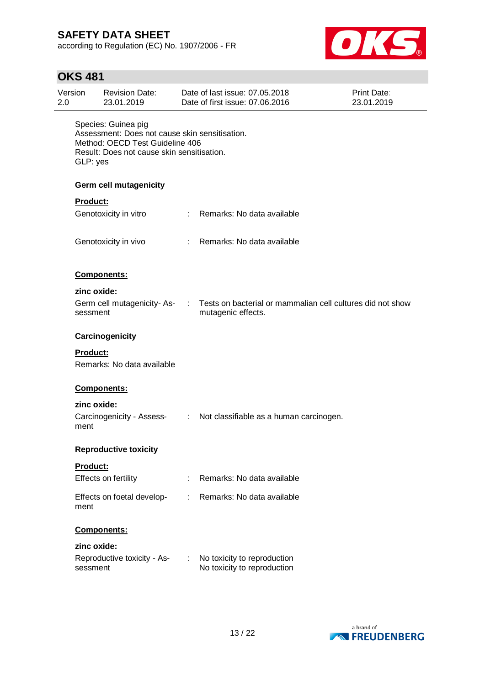according to Regulation (EC) No. 1907/2006 - FR



## **OKS 481**

| Version<br>2.0 |                 | <b>Revision Date:</b><br>23.01.2019                                                                                                                    | Date of last issue: 07.05.2018<br><b>Print Date:</b><br>Date of first issue: 07.06.2016<br>23.01.2019 |                                                                                  |  |  |
|----------------|-----------------|--------------------------------------------------------------------------------------------------------------------------------------------------------|-------------------------------------------------------------------------------------------------------|----------------------------------------------------------------------------------|--|--|
|                | GLP: yes        | Species: Guinea pig<br>Assessment: Does not cause skin sensitisation.<br>Method: OECD Test Guideline 406<br>Result: Does not cause skin sensitisation. |                                                                                                       |                                                                                  |  |  |
|                |                 | Germ cell mutagenicity                                                                                                                                 |                                                                                                       |                                                                                  |  |  |
|                | Product:        |                                                                                                                                                        |                                                                                                       |                                                                                  |  |  |
|                |                 | Genotoxicity in vitro                                                                                                                                  |                                                                                                       | : Remarks: No data available                                                     |  |  |
|                |                 | Genotoxicity in vivo                                                                                                                                   |                                                                                                       | : Remarks: No data available                                                     |  |  |
|                |                 | Components:                                                                                                                                            |                                                                                                       |                                                                                  |  |  |
|                | zinc oxide:     |                                                                                                                                                        |                                                                                                       |                                                                                  |  |  |
|                | sessment        | Germ cell mutagenicity-As-                                                                                                                             | ÷.                                                                                                    | Tests on bacterial or mammalian cell cultures did not show<br>mutagenic effects. |  |  |
|                |                 | Carcinogenicity                                                                                                                                        |                                                                                                       |                                                                                  |  |  |
|                | <b>Product:</b> | Remarks: No data available                                                                                                                             |                                                                                                       |                                                                                  |  |  |
|                |                 | Components:                                                                                                                                            |                                                                                                       |                                                                                  |  |  |
|                | zinc oxide:     |                                                                                                                                                        |                                                                                                       |                                                                                  |  |  |
|                | ment            | Carcinogenicity - Assess-                                                                                                                              |                                                                                                       | : Not classifiable as a human carcinogen.                                        |  |  |
|                |                 | <b>Reproductive toxicity</b>                                                                                                                           |                                                                                                       |                                                                                  |  |  |
|                | <b>Product:</b> |                                                                                                                                                        |                                                                                                       |                                                                                  |  |  |
|                |                 | Effects on fertility                                                                                                                                   |                                                                                                       | Remarks: No data available                                                       |  |  |
|                | ment            | Effects on foetal develop-                                                                                                                             |                                                                                                       | Remarks: No data available                                                       |  |  |
|                |                 | Components:                                                                                                                                            |                                                                                                       |                                                                                  |  |  |
|                | zinc oxide:     |                                                                                                                                                        |                                                                                                       |                                                                                  |  |  |
|                | sessment        | Reproductive toxicity - As-                                                                                                                            | ÷.                                                                                                    | No toxicity to reproduction<br>No toxicity to reproduction                       |  |  |

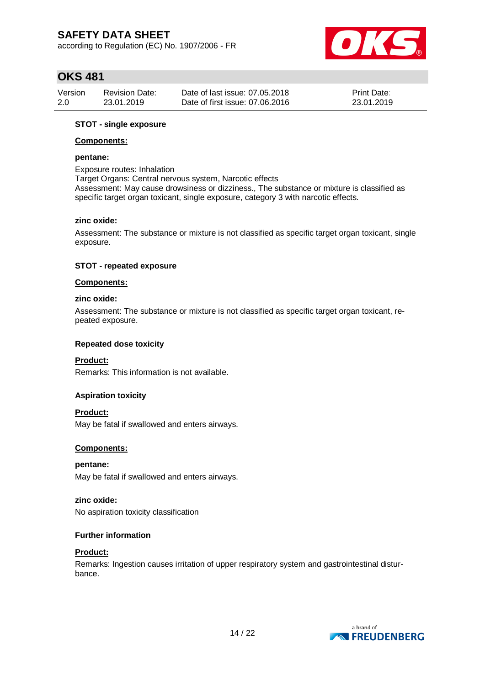according to Regulation (EC) No. 1907/2006 - FR



### **OKS 481**

| Version | <b>Revision Date:</b> | Date of last issue: 07.05.2018  | <b>Print Date:</b> |
|---------|-----------------------|---------------------------------|--------------------|
| 2.0     | 23.01.2019            | Date of first issue: 07.06.2016 | 23.01.2019         |

#### **STOT - single exposure**

#### **Components:**

#### **pentane:**

Exposure routes: Inhalation

Target Organs: Central nervous system, Narcotic effects

Assessment: May cause drowsiness or dizziness., The substance or mixture is classified as specific target organ toxicant, single exposure, category 3 with narcotic effects.

#### **zinc oxide:**

Assessment: The substance or mixture is not classified as specific target organ toxicant, single exposure.

#### **STOT - repeated exposure**

#### **Components:**

#### **zinc oxide:**

Assessment: The substance or mixture is not classified as specific target organ toxicant, repeated exposure.

#### **Repeated dose toxicity**

### **Product:**

Remarks: This information is not available.

#### **Aspiration toxicity**

**Product:**

May be fatal if swallowed and enters airways.

#### **Components:**

**pentane:** May be fatal if swallowed and enters airways.

#### **zinc oxide:**

No aspiration toxicity classification

#### **Further information**

#### **Product:**

Remarks: Ingestion causes irritation of upper respiratory system and gastrointestinal disturbance.

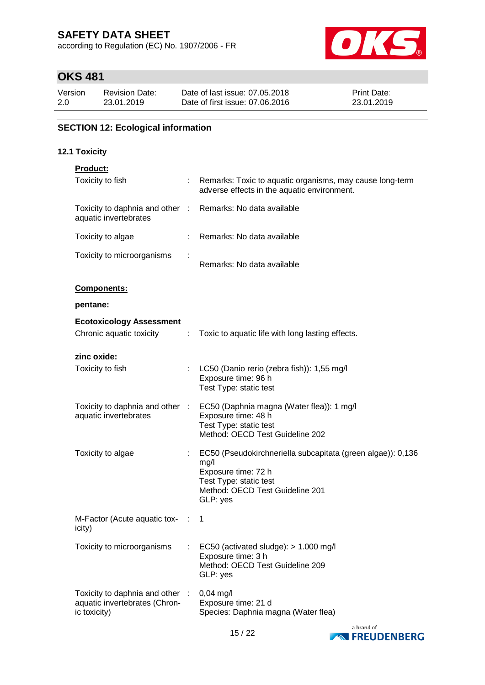according to Regulation (EC) No. 1907/2006 - FR



## **OKS 481**

| Version | <b>Revision Date:</b> | Date of last issue: 07,05,2018  | <b>Print Date:</b> |
|---------|-----------------------|---------------------------------|--------------------|
| 2.0     | 23.01.2019            | Date of first issue: 07.06.2016 | 23.01.2019         |

### **SECTION 12: Ecological information**

### **12.1 Toxicity**

|  | Product: |  |  |  |
|--|----------|--|--|--|
|  |          |  |  |  |

| Toxicity to fish                                                                    |   | Remarks: Toxic to aquatic organisms, may cause long-term<br>adverse effects in the aquatic environment.                                                             |
|-------------------------------------------------------------------------------------|---|---------------------------------------------------------------------------------------------------------------------------------------------------------------------|
| Toxicity to daphnia and other : Remarks: No data available<br>aquatic invertebrates |   |                                                                                                                                                                     |
| Toxicity to algae                                                                   |   | Remarks: No data available                                                                                                                                          |
| Toxicity to microorganisms                                                          |   | Remarks: No data available                                                                                                                                          |
| Components:                                                                         |   |                                                                                                                                                                     |
| pentane:                                                                            |   |                                                                                                                                                                     |
| <b>Ecotoxicology Assessment</b>                                                     |   |                                                                                                                                                                     |
| Chronic aquatic toxicity                                                            | ÷ | Toxic to aquatic life with long lasting effects.                                                                                                                    |
| zinc oxide:                                                                         |   |                                                                                                                                                                     |
| Toxicity to fish                                                                    |   | LC50 (Danio rerio (zebra fish)): 1,55 mg/l<br>Exposure time: 96 h<br>Test Type: static test                                                                         |
| Toxicity to daphnia and other :<br>aquatic invertebrates                            |   | EC50 (Daphnia magna (Water flea)): 1 mg/l<br>Exposure time: 48 h<br>Test Type: static test<br>Method: OECD Test Guideline 202                                       |
| Toxicity to algae                                                                   |   | EC50 (Pseudokirchneriella subcapitata (green algae)): 0,136<br>mg/l<br>Exposure time: 72 h<br>Test Type: static test<br>Method: OECD Test Guideline 201<br>GLP: yes |
| M-Factor (Acute aquatic tox- :<br>icity)                                            |   | 1                                                                                                                                                                   |
| Toxicity to microorganisms                                                          |   | EC50 (activated sludge): > 1.000 mg/l<br>Exposure time: 3 h<br>Method: OECD Test Guideline 209<br>GLP: yes                                                          |
| Toxicity to daphnia and other<br>aquatic invertebrates (Chron-<br>ic toxicity)      |   | $0,04$ mg/l<br>Exposure time: 21 d<br>Species: Daphnia magna (Water flea)                                                                                           |

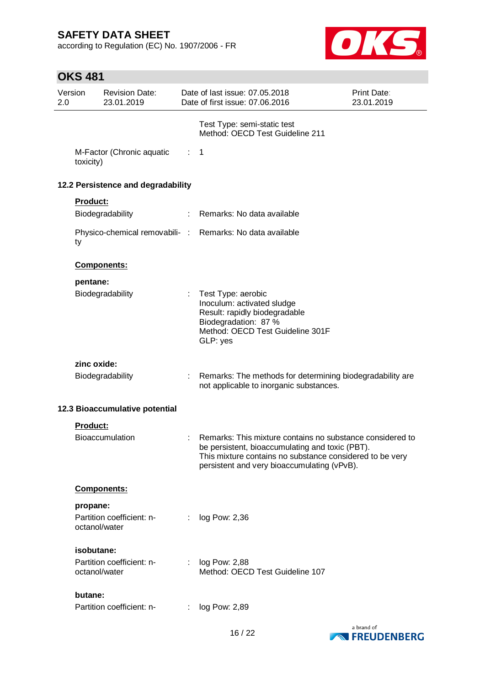according to Regulation (EC) No. 1907/2006 - FR



## **OKS 481**

| 2.0 | Version       | <b>Revision Date:</b><br>23.01.2019 |                | Date of last issue: 07.05.2018<br>Date of first issue: 07.06.2016                                                                                                                                                       | <b>Print Date:</b><br>23.01.2019 |
|-----|---------------|-------------------------------------|----------------|-------------------------------------------------------------------------------------------------------------------------------------------------------------------------------------------------------------------------|----------------------------------|
|     |               |                                     |                | Test Type: semi-static test<br>Method: OECD Test Guideline 211                                                                                                                                                          |                                  |
|     | toxicity)     | M-Factor (Chronic aquatic           | $\therefore$ 1 |                                                                                                                                                                                                                         |                                  |
|     |               | 12.2 Persistence and degradability  |                |                                                                                                                                                                                                                         |                                  |
|     | Product:      |                                     |                |                                                                                                                                                                                                                         |                                  |
|     |               | Biodegradability                    |                | : Remarks: No data available                                                                                                                                                                                            |                                  |
|     | ty            |                                     |                | Physico-chemical removabili- : Remarks: No data available                                                                                                                                                               |                                  |
|     |               | Components:                         |                |                                                                                                                                                                                                                         |                                  |
|     | pentane:      |                                     |                |                                                                                                                                                                                                                         |                                  |
|     |               | Biodegradability                    | ÷.             | Test Type: aerobic<br>Inoculum: activated sludge<br>Result: rapidly biodegradable<br>Biodegradation: 87 %<br>Method: OECD Test Guideline 301F<br>GLP: yes                                                               |                                  |
|     |               |                                     |                |                                                                                                                                                                                                                         |                                  |
|     | zinc oxide:   | Biodegradability                    | ÷.             | Remarks: The methods for determining biodegradability are<br>not applicable to inorganic substances.                                                                                                                    |                                  |
|     |               | 12.3 Bioaccumulative potential      |                |                                                                                                                                                                                                                         |                                  |
|     | Product:      |                                     |                |                                                                                                                                                                                                                         |                                  |
|     |               | <b>Bioaccumulation</b>              |                | Remarks: This mixture contains no substance considered to<br>be persistent, bioaccumulating and toxic (PBT).<br>This mixture contains no substance considered to be very<br>persistent and very bioaccumulating (vPvB). |                                  |
|     |               | Components:                         |                |                                                                                                                                                                                                                         |                                  |
|     | propane:      |                                     |                |                                                                                                                                                                                                                         |                                  |
|     | octanol/water | Partition coefficient: n-           |                | log Pow: 2,36                                                                                                                                                                                                           |                                  |
|     | isobutane:    |                                     |                |                                                                                                                                                                                                                         |                                  |
|     | octanol/water | Partition coefficient: n-           | ÷.             | log Pow: 2,88<br>Method: OECD Test Guideline 107                                                                                                                                                                        |                                  |
|     | butane:       |                                     |                |                                                                                                                                                                                                                         |                                  |
|     |               | Partition coefficient: n-           |                | log Pow: 2,89                                                                                                                                                                                                           |                                  |

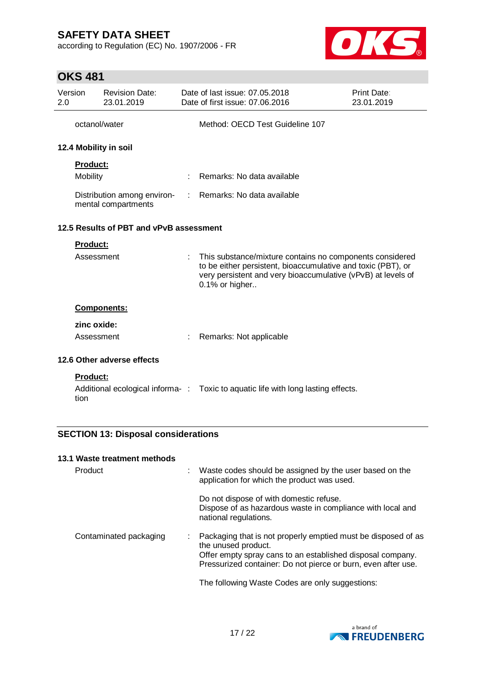according to Regulation (EC) No. 1907/2006 - FR



### **OKS 481**

| Version<br>2.0                                     |                         | <b>Revision Date:</b><br>23.01.2019     |                                                                                                                                                                                                            | Date of last issue: 07.05.2018<br>Date of first issue: 07,06,2016                | Print Date:<br>23.01.2019 |  |
|----------------------------------------------------|-------------------------|-----------------------------------------|------------------------------------------------------------------------------------------------------------------------------------------------------------------------------------------------------------|----------------------------------------------------------------------------------|---------------------------|--|
|                                                    | octanol/water           |                                         |                                                                                                                                                                                                            | Method: OECD Test Guideline 107                                                  |                           |  |
|                                                    |                         | 12.4 Mobility in soil                   |                                                                                                                                                                                                            |                                                                                  |                           |  |
|                                                    | <b>Product:</b>         |                                         |                                                                                                                                                                                                            |                                                                                  |                           |  |
|                                                    | Mobility                |                                         |                                                                                                                                                                                                            | Remarks: No data available                                                       |                           |  |
| Distribution among environ-<br>mental compartments |                         |                                         | : Remarks: No data available                                                                                                                                                                               |                                                                                  |                           |  |
|                                                    |                         | 12.5 Results of PBT and vPvB assessment |                                                                                                                                                                                                            |                                                                                  |                           |  |
|                                                    | <b>Product:</b>         |                                         |                                                                                                                                                                                                            |                                                                                  |                           |  |
| Assessment                                         |                         |                                         | This substance/mixture contains no components considered<br>to be either persistent, bioaccumulative and toxic (PBT), or<br>very persistent and very bioaccumulative (vPvB) at levels of<br>0.1% or higher |                                                                                  |                           |  |
|                                                    |                         | Components:                             |                                                                                                                                                                                                            |                                                                                  |                           |  |
|                                                    | zinc oxide:             |                                         |                                                                                                                                                                                                            |                                                                                  |                           |  |
|                                                    | Assessment              |                                         | ÷                                                                                                                                                                                                          | Remarks: Not applicable                                                          |                           |  |
| 12.6 Other adverse effects                         |                         |                                         |                                                                                                                                                                                                            |                                                                                  |                           |  |
|                                                    | <b>Product:</b><br>tion |                                         |                                                                                                                                                                                                            | Additional ecological informa-: Toxic to aquatic life with long lasting effects. |                           |  |

### **SECTION 13: Disposal considerations**

#### **13.1 Waste treatment methods**

| Product                | Waste codes should be assigned by the user based on the<br>application for which the product was used.                                                                                                              |  |
|------------------------|---------------------------------------------------------------------------------------------------------------------------------------------------------------------------------------------------------------------|--|
|                        | Do not dispose of with domestic refuse.<br>Dispose of as hazardous waste in compliance with local and<br>national regulations.                                                                                      |  |
| Contaminated packaging | Packaging that is not properly emptied must be disposed of as<br>the unused product.<br>Offer empty spray cans to an established disposal company.<br>Pressurized container: Do not pierce or burn, even after use. |  |
|                        | The following Waste Codes are only suggestions:                                                                                                                                                                     |  |

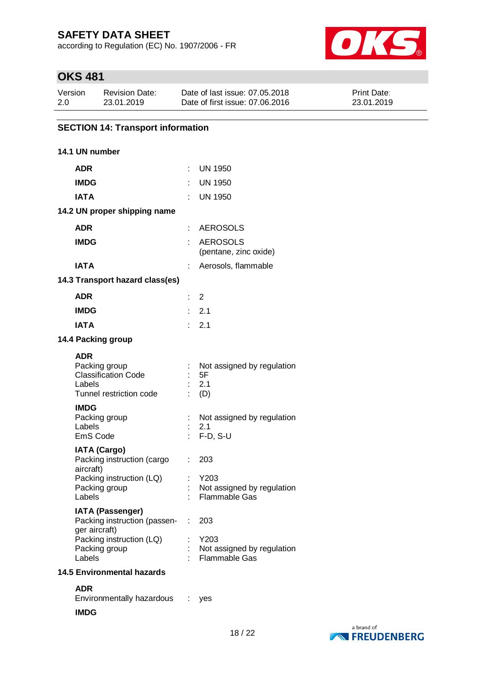according to Regulation (EC) No. 1907/2006 - FR



## **OKS 481**

| Version | <b>Revision Date:</b> | Date of last issue: 07.05.2018  | <b>Print Date:</b> |
|---------|-----------------------|---------------------------------|--------------------|
| 2.0     | 23.01.2019            | Date of first issue: 07,06,2016 | 23.01.2019         |

### **SECTION 14: Transport information**

### **14.1 UN number**

| ADR                                                                                                         |    | <b>UN 1950</b>                                      |
|-------------------------------------------------------------------------------------------------------------|----|-----------------------------------------------------|
| <b>IMDG</b>                                                                                                 |    | UN 1950                                             |
| <b>IATA</b>                                                                                                 | ۰  | <b>UN 1950</b>                                      |
| 14.2 UN proper shipping name                                                                                |    |                                                     |
| <b>ADR</b>                                                                                                  |    | <b>AEROSOLS</b>                                     |
| <b>IMDG</b>                                                                                                 |    | <b>AEROSOLS</b><br>(pentane, zinc oxide)            |
| <b>IATA</b>                                                                                                 |    | Aerosols, flammable                                 |
| 14.3 Transport hazard class(es)                                                                             |    |                                                     |
| <b>ADR</b>                                                                                                  | t. | 2                                                   |
| <b>IMDG</b>                                                                                                 |    | 2.1                                                 |
| <b>IATA</b>                                                                                                 | ŧ. | 2.1                                                 |
| 14.4 Packing group                                                                                          |    |                                                     |
| <b>ADR</b><br>Packing group<br><b>Classification Code</b><br>Labels<br>Tunnel restriction code              |    | Not assigned by regulation<br>5F<br>2.1<br>(D)      |
| <b>IMDG</b><br>Packing group<br>Labels<br>EmS Code                                                          |    | Not assigned by regulation<br>2.1<br>F-D, S-U       |
| <b>IATA (Cargo)</b><br>Packing instruction (cargo<br>aircraft)<br>Packing instruction (LQ)<br>Packing group | t. | 203<br>Y203<br>Not assigned by regulation           |
| Labels                                                                                                      |    | <b>Flammable Gas</b>                                |
| <b>IATA (Passenger)</b><br>Packing instruction (passen-<br>ger aircraft)                                    | ÷. | 203                                                 |
| Packing instruction (LQ)<br>Packing group<br>Labels                                                         |    | Y203<br>Not assigned by regulation<br>Flammable Gas |
| <b>14.5 Environmental hazards</b>                                                                           |    |                                                     |

**ADR** Environmentally hazardous : yes

#### **IMDG**

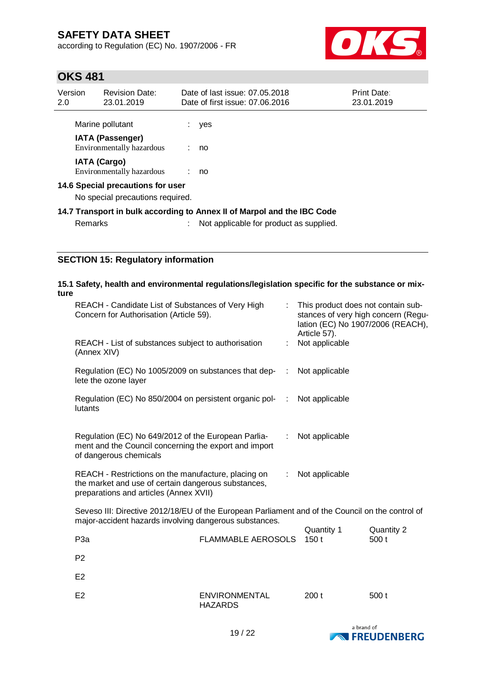according to Regulation (EC) No. 1907/2006 - FR



### **OKS 481**

| Version<br>2.0                    | <b>Revision Date:</b><br>23.01.2019                  |  | Date of last issue: 07.05.2018<br>Date of first issue: 07.06.2016       | Print Date:<br>23.01.2019 |
|-----------------------------------|------------------------------------------------------|--|-------------------------------------------------------------------------|---------------------------|
|                                   | Marine pollutant                                     |  | yes                                                                     |                           |
|                                   | <b>IATA (Passenger)</b><br>Environmentally hazardous |  | no                                                                      |                           |
|                                   | <b>IATA (Cargo)</b><br>Environmentally hazardous     |  | : no                                                                    |                           |
| 14.6 Special precautions for user |                                                      |  |                                                                         |                           |
| No special precautions required.  |                                                      |  |                                                                         |                           |
|                                   |                                                      |  | 14.7 Transport in bulk according to Annex II of Marpol and the IBC Code |                           |
|                                   |                                                      |  |                                                                         |                           |

Remarks : Not applicable for product as supplied.

### **SECTION 15: Regulatory information**

### **15.1 Safety, health and environmental regulations/legislation specific for the substance or mixture**

| REACH - Candidate List of Substances of Very High<br>Concern for Authorisation (Article 59).                                                         |    | This product does not contain sub-<br>stances of very high concern (Regu-<br>lation (EC) No 1907/2006 (REACH),<br>Article 57). |
|------------------------------------------------------------------------------------------------------------------------------------------------------|----|--------------------------------------------------------------------------------------------------------------------------------|
| REACH - List of substances subject to authorisation<br>(Annex XIV)                                                                                   |    | Not applicable                                                                                                                 |
| Regulation (EC) No 1005/2009 on substances that dep-<br>lete the ozone layer                                                                         | ÷  | Not applicable                                                                                                                 |
| Regulation (EC) No 850/2004 on persistent organic pol-<br>lutants                                                                                    | ÷  | Not applicable                                                                                                                 |
| Regulation (EC) No 649/2012 of the European Parlia-<br>ment and the Council concerning the export and import<br>of dangerous chemicals               | ÷. | Not applicable                                                                                                                 |
| REACH - Restrictions on the manufacture, placing on<br>the market and use of certain dangerous substances,<br>preparations and articles (Annex XVII) |    | Not applicable                                                                                                                 |

Seveso III: Directive 2012/18/EU of the European Parliament and of the Council on the control of major-accident hazards involving dangerous substances.

|                  |                                        | Quantity 1 | Quantity 2 |
|------------------|----------------------------------------|------------|------------|
| P <sub>3</sub> a | FLAMMABLE AEROSOLS 150 t               |            | 500 t      |
| P <sub>2</sub>   |                                        |            |            |
| E <sub>2</sub>   |                                        |            |            |
| E <sub>2</sub>   | <b>ENVIRONMENTAL</b><br><b>HAZARDS</b> | 200t       | 500t       |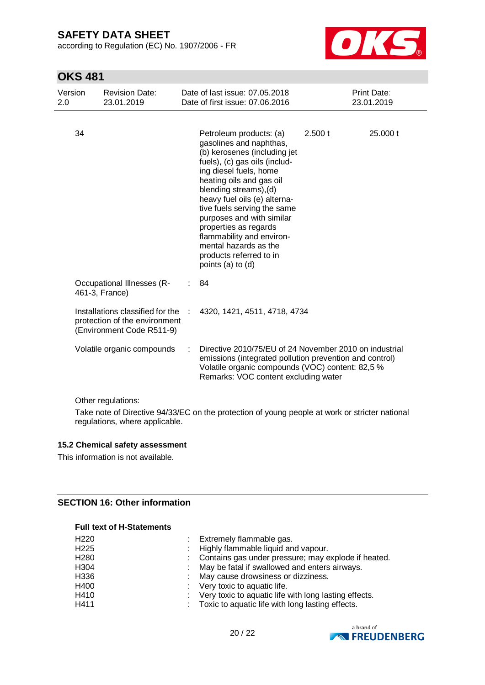according to Regulation (EC) No. 1907/2006 - FR



### **OKS 481**

| Version<br>2.0 | <b>Revision Date:</b><br>23.01.2019                                                            |   | Date of last issue: 07.05.2018<br>Date of first issue: 07.06.2016                                                                                                                                                                                                                                                                                                                                                              |         | Print Date:<br>23.01.2019 |
|----------------|------------------------------------------------------------------------------------------------|---|--------------------------------------------------------------------------------------------------------------------------------------------------------------------------------------------------------------------------------------------------------------------------------------------------------------------------------------------------------------------------------------------------------------------------------|---------|---------------------------|
| 34             |                                                                                                |   | Petroleum products: (a)<br>gasolines and naphthas,<br>(b) kerosenes (including jet<br>fuels), (c) gas oils (includ-<br>ing diesel fuels, home<br>heating oils and gas oil<br>blending streams), (d)<br>heavy fuel oils (e) alterna-<br>tive fuels serving the same<br>purposes and with similar<br>properties as regards<br>flammability and environ-<br>mental hazards as the<br>products referred to in<br>points (a) to (d) | 2.500 t | 25.000 t                  |
|                | <b>Occupational Illnesses (R-</b><br>461-3, France)                                            | ÷ | 84                                                                                                                                                                                                                                                                                                                                                                                                                             |         |                           |
|                | Installations classified for the<br>protection of the environment<br>(Environment Code R511-9) |   | 4320, 1421, 4511, 4718, 4734                                                                                                                                                                                                                                                                                                                                                                                                   |         |                           |
|                | Volatile organic compounds                                                                     |   | Directive 2010/75/EU of 24 November 2010 on industrial<br>emissions (integrated pollution prevention and control)<br>Volatile organic compounds (VOC) content: 82,5 %<br>Remarks: VOC content excluding water                                                                                                                                                                                                                  |         |                           |

Other regulations:

Take note of Directive 94/33/EC on the protection of young people at work or stricter national regulations, where applicable.

#### **15.2 Chemical safety assessment**

This information is not available.

### **SECTION 16: Other information**

#### **Full text of H-Statements**

| H <sub>220</sub> | Extremely flammable gas.                              |
|------------------|-------------------------------------------------------|
| H <sub>225</sub> | Highly flammable liquid and vapour.                   |
| H <sub>280</sub> | Contains gas under pressure; may explode if heated.   |
| H304             | May be fatal if swallowed and enters airways.         |
| H336             | May cause drowsiness or dizziness.                    |
| H400             | : Very toxic to aquatic life.                         |
| H410             | Very toxic to aquatic life with long lasting effects. |
| H411             | Toxic to aquatic life with long lasting effects.      |

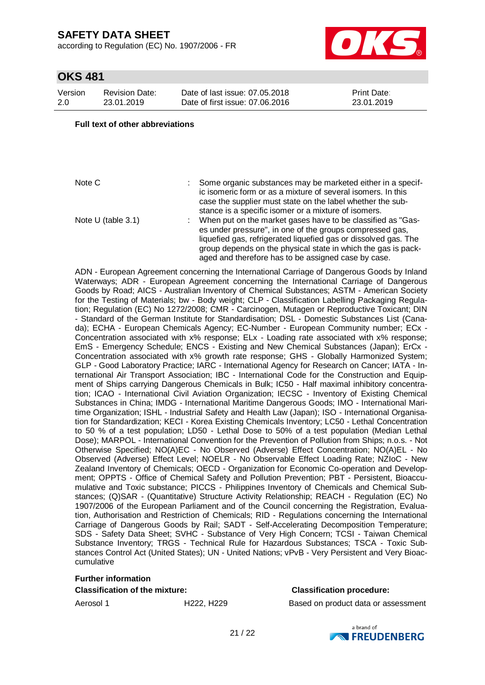according to Regulation (EC) No. 1907/2006 - FR



### **OKS 481**

| Version | <b>Revision Date:</b> |
|---------|-----------------------|
| 2.0     | 23.01.2019            |

Date of last issue: 07.05.2018 Date of first issue: 07.06.2016

Print Date: 23.01.2019

#### **Full text of other abbreviations**

Note C : Some organic substances may be marketed either in a specific isomeric form or as a mixture of several isomers. In this case the supplier must state on the label whether the substance is a specific isomer or a mixture of isomers. Note U (table 3.1) : When put on the market gases have to be classified as "Gases under pressure", in one of the groups compressed gas, liquefied gas, refrigerated liquefied gas or dissolved gas. The group depends on the physical state in which the gas is packaged and therefore has to be assigned case by case.

ADN - European Agreement concerning the International Carriage of Dangerous Goods by Inland Waterways; ADR - European Agreement concerning the International Carriage of Dangerous Goods by Road; AICS - Australian Inventory of Chemical Substances; ASTM - American Society for the Testing of Materials; bw - Body weight; CLP - Classification Labelling Packaging Regulation; Regulation (EC) No 1272/2008; CMR - Carcinogen, Mutagen or Reproductive Toxicant; DIN - Standard of the German Institute for Standardisation; DSL - Domestic Substances List (Canada); ECHA - European Chemicals Agency; EC-Number - European Community number; ECx - Concentration associated with x% response; ELx - Loading rate associated with x% response; EmS - Emergency Schedule; ENCS - Existing and New Chemical Substances (Japan); ErCx - Concentration associated with x% growth rate response; GHS - Globally Harmonized System; GLP - Good Laboratory Practice; IARC - International Agency for Research on Cancer; IATA - International Air Transport Association; IBC - International Code for the Construction and Equipment of Ships carrying Dangerous Chemicals in Bulk; IC50 - Half maximal inhibitory concentration; ICAO - International Civil Aviation Organization; IECSC - Inventory of Existing Chemical Substances in China; IMDG - International Maritime Dangerous Goods; IMO - International Maritime Organization; ISHL - Industrial Safety and Health Law (Japan); ISO - International Organisation for Standardization; KECI - Korea Existing Chemicals Inventory; LC50 - Lethal Concentration to 50 % of a test population; LD50 - Lethal Dose to 50% of a test population (Median Lethal Dose); MARPOL - International Convention for the Prevention of Pollution from Ships; n.o.s. - Not Otherwise Specified; NO(A)EC - No Observed (Adverse) Effect Concentration; NO(A)EL - No Observed (Adverse) Effect Level; NOELR - No Observable Effect Loading Rate; NZIoC - New Zealand Inventory of Chemicals; OECD - Organization for Economic Co-operation and Development; OPPTS - Office of Chemical Safety and Pollution Prevention; PBT - Persistent, Bioaccumulative and Toxic substance; PICCS - Philippines Inventory of Chemicals and Chemical Substances; (Q)SAR - (Quantitative) Structure Activity Relationship; REACH - Regulation (EC) No 1907/2006 of the European Parliament and of the Council concerning the Registration, Evaluation, Authorisation and Restriction of Chemicals; RID - Regulations concerning the International Carriage of Dangerous Goods by Rail; SADT - Self-Accelerating Decomposition Temperature; SDS - Safety Data Sheet; SVHC - Substance of Very High Concern; TCSI - Taiwan Chemical Substance Inventory; TRGS - Technical Rule for Hazardous Substances; TSCA - Toxic Substances Control Act (United States); UN - United Nations; vPvB - Very Persistent and Very Bioaccumulative

#### **Further information**

**Classification of the mixture: Classification procedure:**

Aerosol 1 **H222, H229** Based on product data or assessment